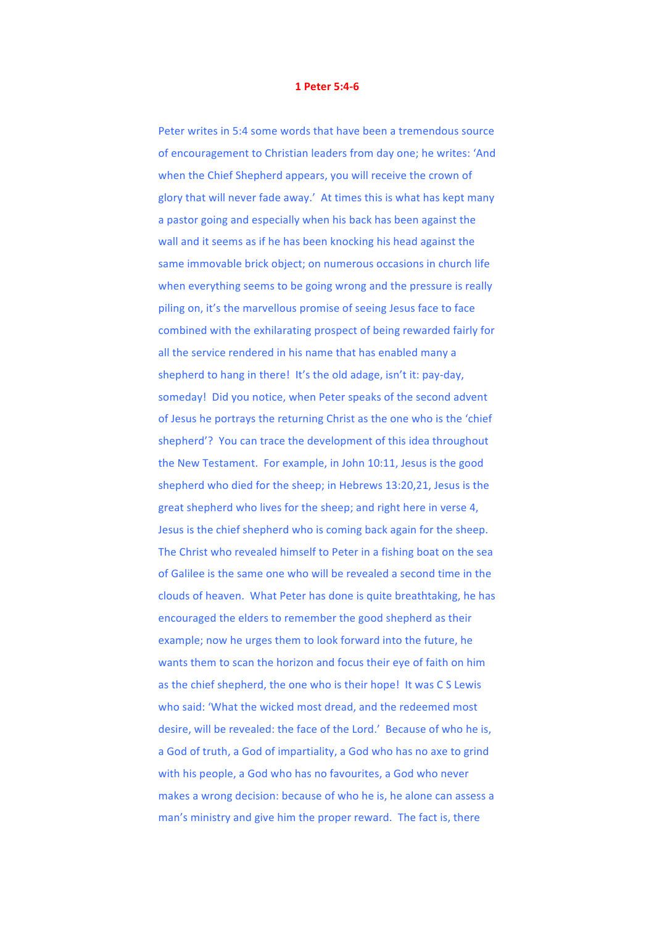## **1 Peter 5:4-6**

Peter writes in 5:4 some words that have been a tremendous source of encouragement to Christian leaders from day one; he writes: 'And when the Chief Shepherd appears, you will receive the crown of glory that will never fade away.' At times this is what has kept many a pastor going and especially when his back has been against the wall and it seems as if he has been knocking his head against the same immovable brick object; on numerous occasions in church life when everything seems to be going wrong and the pressure is really piling on, it's the marvellous promise of seeing Jesus face to face combined with the exhilarating prospect of being rewarded fairly for all the service rendered in his name that has enabled many a shepherd to hang in there! It's the old adage, isn't it: pay-day, someday! Did you notice, when Peter speaks of the second advent of Jesus he portrays the returning Christ as the one who is the 'chief shepherd'? You can trace the development of this idea throughout the New Testament. For example, in John 10:11, Jesus is the good shepherd who died for the sheep; in Hebrews 13:20,21, Jesus is the great shepherd who lives for the sheep; and right here in verse 4, Jesus is the chief shepherd who is coming back again for the sheep. The Christ who revealed himself to Peter in a fishing boat on the sea of Galilee is the same one who will be revealed a second time in the clouds of heaven. What Peter has done is quite breathtaking, he has encouraged the elders to remember the good shepherd as their example; now he urges them to look forward into the future, he wants them to scan the horizon and focus their eye of faith on him as the chief shepherd, the one who is their hope! It was C S Lewis who said: 'What the wicked most dread, and the redeemed most desire, will be revealed: the face of the Lord.' Because of who he is, a God of truth, a God of impartiality, a God who has no axe to grind with his people, a God who has no favourites, a God who never makes a wrong decision: because of who he is, he alone can assess a man's ministry and give him the proper reward. The fact is, there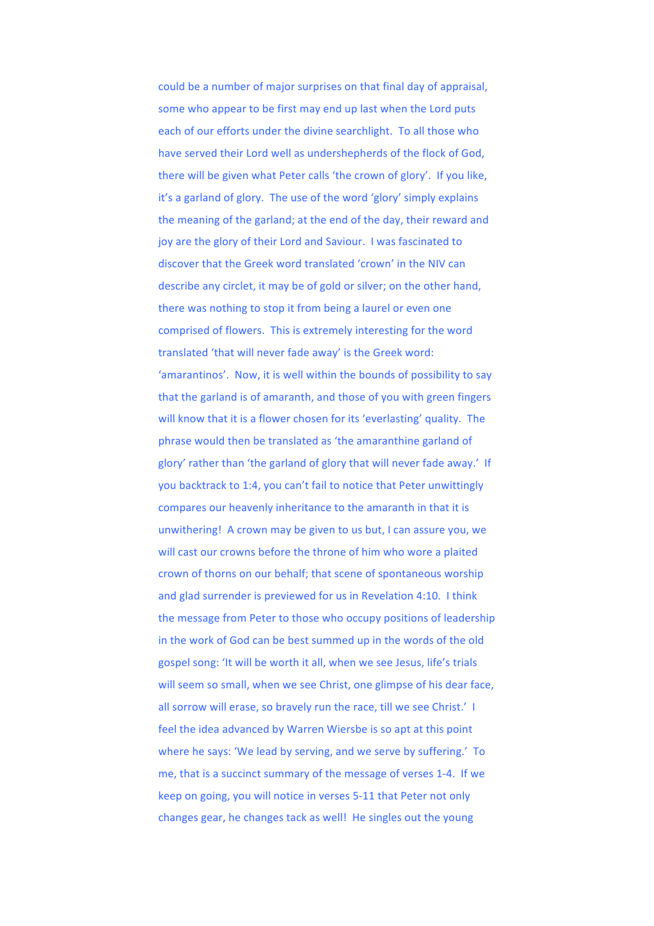could be a number of major surprises on that final day of appraisal, some who appear to be first may end up last when the Lord puts each of our efforts under the divine searchlight. To all those who have served their Lord well as undershepherds of the flock of God. there will be given what Peter calls 'the crown of glory'. If you like, it's a garland of glory. The use of the word 'glory' simply explains the meaning of the garland; at the end of the day, their reward and joy are the glory of their Lord and Saviour. I was fascinated to discover that the Greek word translated 'crown' in the NIV can describe any circlet, it may be of gold or silver; on the other hand, there was nothing to stop it from being a laurel or even one comprised of flowers. This is extremely interesting for the word translated 'that will never fade away' is the Greek word: 'amarantinos'. Now, it is well within the bounds of possibility to say that the garland is of amaranth, and those of you with green fingers will know that it is a flower chosen for its 'everlasting' quality. The phrase would then be translated as 'the amaranthine garland of glory' rather than 'the garland of glory that will never fade away.' If you backtrack to 1:4, you can't fail to notice that Peter unwittingly compares our heavenly inheritance to the amaranth in that it is unwithering! A crown may be given to us but, I can assure you, we will cast our crowns before the throne of him who wore a plaited crown of thorns on our behalf; that scene of spontaneous worship and glad surrender is previewed for us in Revelation 4:10. I think the message from Peter to those who occupy positions of leadership in the work of God can be best summed up in the words of the old gospel song: 'It will be worth it all, when we see Jesus, life's trials will seem so small, when we see Christ, one glimpse of his dear face, all sorrow will erase, so bravely run the race, till we see Christ.' I feel the idea advanced by Warren Wiersbe is so apt at this point where he says: 'We lead by serving, and we serve by suffering.' To me, that is a succinct summary of the message of verses 1-4. If we keep on going, you will notice in verses 5-11 that Peter not only changes gear, he changes tack as well! He singles out the young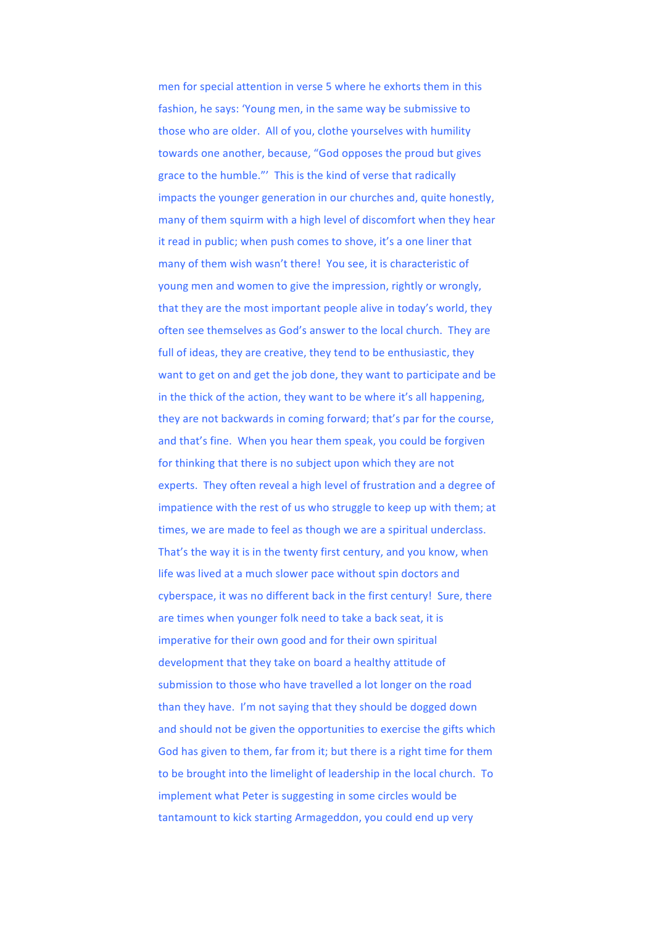men for special attention in verse 5 where he exhorts them in this fashion, he says: 'Young men, in the same way be submissive to those who are older. All of you, clothe yourselves with humility towards one another, because, "God opposes the proud but gives grace to the humble."' This is the kind of verse that radically impacts the younger generation in our churches and, quite honestly, many of them squirm with a high level of discomfort when they hear it read in public; when push comes to shove, it's a one liner that many of them wish wasn't there! You see, it is characteristic of young men and women to give the impression, rightly or wrongly. that they are the most important people alive in today's world, they often see themselves as God's answer to the local church. They are full of ideas, they are creative, they tend to be enthusiastic, they want to get on and get the job done, they want to participate and be in the thick of the action, they want to be where it's all happening, they are not backwards in coming forward; that's par for the course, and that's fine. When you hear them speak, you could be forgiven for thinking that there is no subject upon which they are not experts. They often reveal a high level of frustration and a degree of impatience with the rest of us who struggle to keep up with them; at times, we are made to feel as though we are a spiritual underclass. That's the way it is in the twenty first century, and you know, when life was lived at a much slower pace without spin doctors and cyberspace, it was no different back in the first century! Sure, there are times when younger folk need to take a back seat, it is imperative for their own good and for their own spiritual development that they take on board a healthy attitude of submission to those who have travelled a lot longer on the road than they have. I'm not saying that they should be dogged down and should not be given the opportunities to exercise the gifts which God has given to them, far from it; but there is a right time for them to be brought into the limelight of leadership in the local church. To implement what Peter is suggesting in some circles would be tantamount to kick starting Armageddon, you could end up very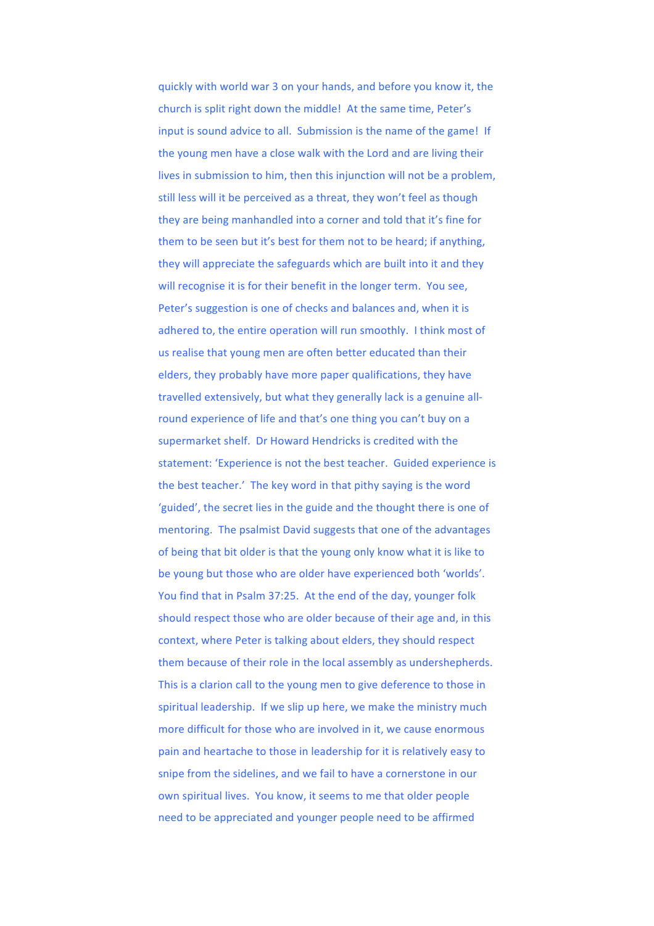quickly with world war 3 on your hands, and before you know it, the church is split right down the middle! At the same time, Peter's input is sound advice to all. Submission is the name of the game! If the young men have a close walk with the Lord and are living their lives in submission to him, then this injunction will not be a problem, still less will it be perceived as a threat, they won't feel as though they are being manhandled into a corner and told that it's fine for them to be seen but it's best for them not to be heard; if anything, they will appreciate the safeguards which are built into it and they will recognise it is for their benefit in the longer term. You see, Peter's suggestion is one of checks and balances and, when it is adhered to, the entire operation will run smoothly. I think most of us realise that young men are often better educated than their elders, they probably have more paper qualifications, they have travelled extensively, but what they generally lack is a genuine allround experience of life and that's one thing you can't buy on a supermarket shelf. Dr Howard Hendricks is credited with the statement: 'Experience is not the best teacher. Guided experience is the best teacher.' The key word in that pithy saying is the word 'guided', the secret lies in the guide and the thought there is one of mentoring. The psalmist David suggests that one of the advantages of being that bit older is that the young only know what it is like to be young but those who are older have experienced both 'worlds'. You find that in Psalm 37:25. At the end of the day, younger folk should respect those who are older because of their age and, in this context, where Peter is talking about elders, they should respect them because of their role in the local assembly as undershepherds. This is a clarion call to the young men to give deference to those in spiritual leadership. If we slip up here, we make the ministry much more difficult for those who are involved in it, we cause enormous pain and heartache to those in leadership for it is relatively easy to snipe from the sidelines, and we fail to have a cornerstone in our own spiritual lives. You know, it seems to me that older people need to be appreciated and younger people need to be affirmed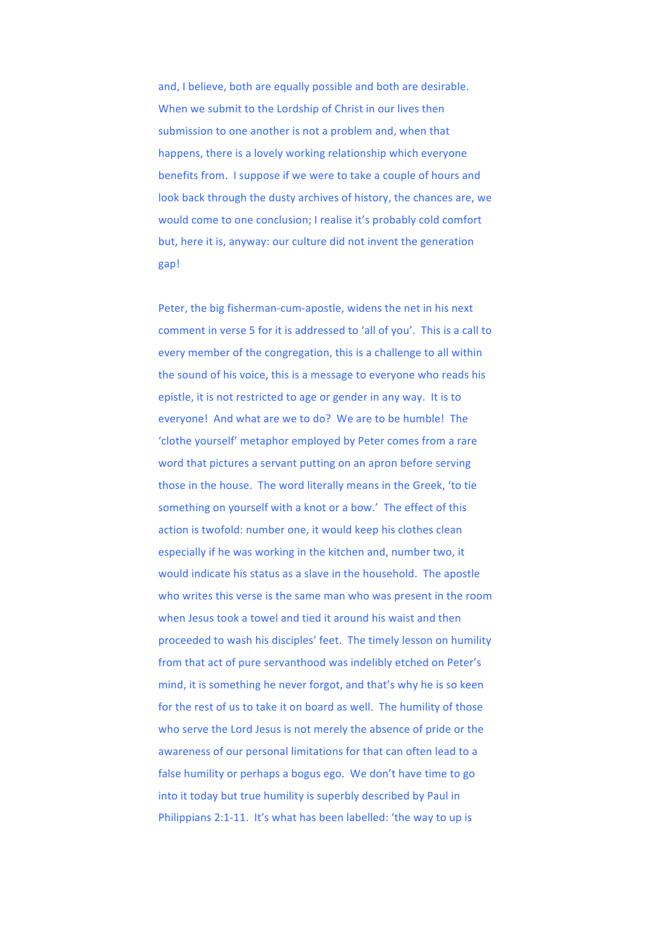and, I believe, both are equally possible and both are desirable. When we submit to the Lordship of Christ in our lives then submission to one another is not a problem and, when that happens, there is a lovely working relationship which everyone benefits from. I suppose if we were to take a couple of hours and look back through the dusty archives of history, the chances are, we would come to one conclusion; I realise it's probably cold comfort but, here it is, anyway: our culture did not invent the generation gap! 

Peter, the big fisherman-cum-apostle, widens the net in his next comment in verse 5 for it is addressed to 'all of you'. This is a call to every member of the congregation, this is a challenge to all within the sound of his voice, this is a message to everyone who reads his epistle, it is not restricted to age or gender in any way. It is to everyone! And what are we to do? We are to be humble! The 'clothe yourself' metaphor employed by Peter comes from a rare word that pictures a servant putting on an apron before serving those in the house. The word literally means in the Greek, 'to tie something on yourself with a knot or a bow.' The effect of this action is twofold: number one, it would keep his clothes clean especially if he was working in the kitchen and, number two, it would indicate his status as a slave in the household. The apostle who writes this verse is the same man who was present in the room when Jesus took a towel and tied it around his waist and then proceeded to wash his disciples' feet. The timely lesson on humility from that act of pure servanthood was indelibly etched on Peter's mind, it is something he never forgot, and that's why he is so keen for the rest of us to take it on board as well. The humility of those who serve the Lord Jesus is not merely the absence of pride or the awareness of our personal limitations for that can often lead to a false humility or perhaps a bogus ego. We don't have time to go into it today but true humility is superbly described by Paul in Philippians  $2:1-11$ . It's what has been labelled: 'the way to up is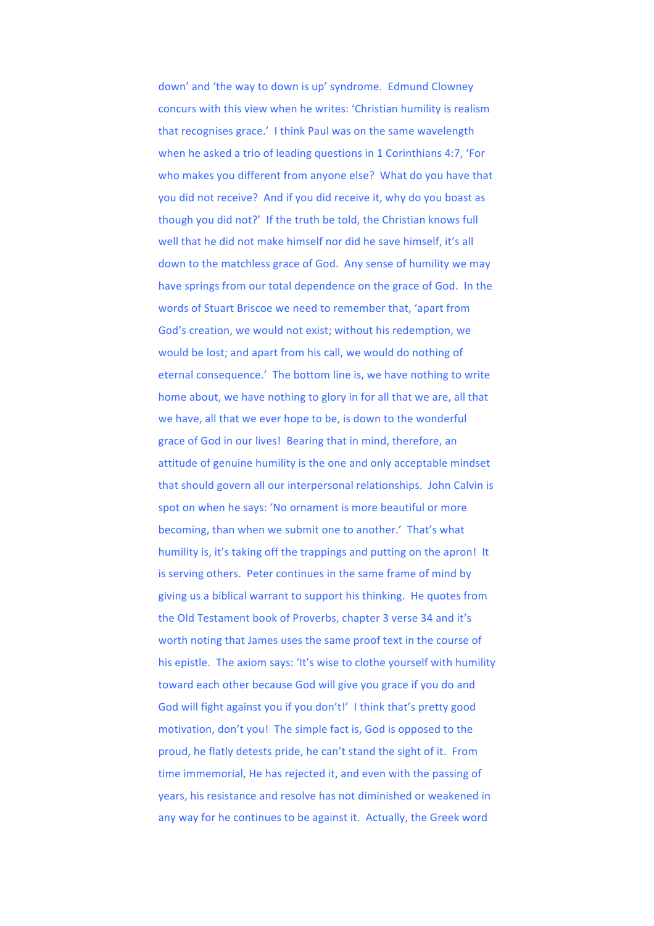down' and 'the way to down is up' syndrome. Edmund Clowney concurs with this view when he writes: 'Christian humility is realism that recognises grace.' I think Paul was on the same wavelength when he asked a trio of leading questions in 1 Corinthians 4:7, 'For who makes you different from anyone else? What do you have that you did not receive? And if you did receive it, why do you boast as though you did not?' If the truth be told, the Christian knows full well that he did not make himself nor did he save himself, it's all down to the matchless grace of God. Any sense of humility we may have springs from our total dependence on the grace of God. In the words of Stuart Briscoe we need to remember that, 'apart from God's creation, we would not exist; without his redemption, we would be lost; and apart from his call, we would do nothing of eternal consequence.' The bottom line is, we have nothing to write home about, we have nothing to glory in for all that we are, all that we have, all that we ever hope to be, is down to the wonderful grace of God in our lives! Bearing that in mind, therefore, an attitude of genuine humility is the one and only acceptable mindset that should govern all our interpersonal relationships. John Calvin is spot on when he says: 'No ornament is more beautiful or more becoming, than when we submit one to another.' That's what humility is, it's taking off the trappings and putting on the apron! It is serving others. Peter continues in the same frame of mind by giving us a biblical warrant to support his thinking. He quotes from the Old Testament book of Proverbs, chapter 3 verse 34 and it's worth noting that James uses the same proof text in the course of his epistle. The axiom says: 'It's wise to clothe yourself with humility toward each other because God will give you grace if you do and God will fight against you if you don't!' I think that's pretty good motivation, don't you! The simple fact is, God is opposed to the proud, he flatly detests pride, he can't stand the sight of it. From time immemorial, He has rejected it, and even with the passing of years, his resistance and resolve has not diminished or weakened in any way for he continues to be against it. Actually, the Greek word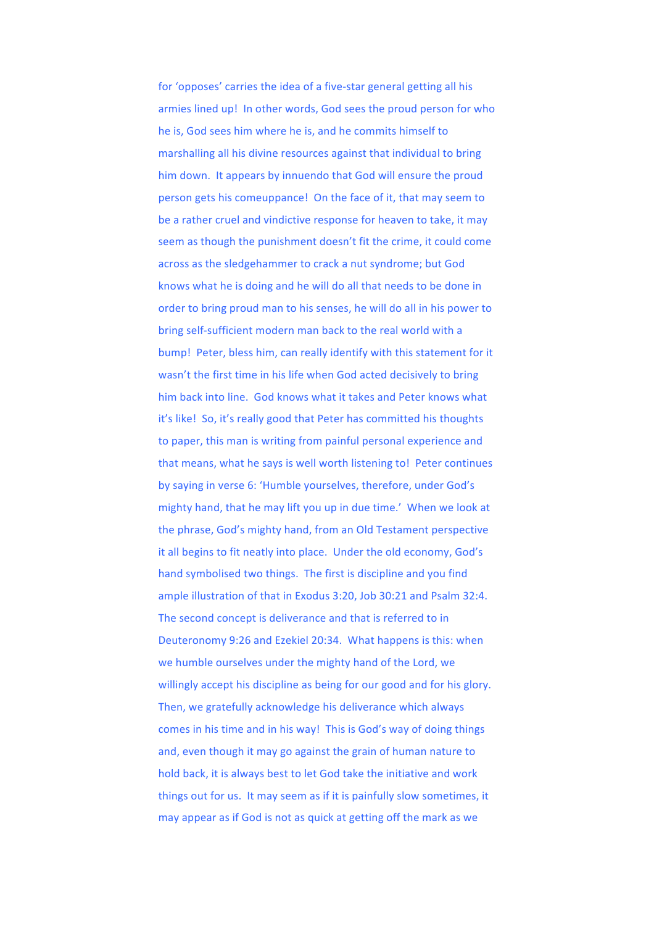for 'opposes' carries the idea of a five-star general getting all his armies lined up! In other words, God sees the proud person for who he is, God sees him where he is, and he commits himself to marshalling all his divine resources against that individual to bring him down. It appears by innuendo that God will ensure the proud person gets his comeuppance! On the face of it, that may seem to be a rather cruel and vindictive response for heaven to take, it may seem as though the punishment doesn't fit the crime, it could come across as the sledgehammer to crack a nut syndrome; but God knows what he is doing and he will do all that needs to be done in order to bring proud man to his senses, he will do all in his power to bring self-sufficient modern man back to the real world with a bump! Peter, bless him, can really identify with this statement for it wasn't the first time in his life when God acted decisively to bring him back into line. God knows what it takes and Peter knows what it's like! So, it's really good that Peter has committed his thoughts to paper, this man is writing from painful personal experience and that means, what he says is well worth listening to! Peter continues by saying in verse 6: 'Humble yourselves, therefore, under God's mighty hand, that he may lift you up in due time.' When we look at the phrase, God's mighty hand, from an Old Testament perspective it all begins to fit neatly into place. Under the old economy, God's hand symbolised two things. The first is discipline and you find ample illustration of that in Exodus 3:20, Job 30:21 and Psalm 32:4. The second concept is deliverance and that is referred to in Deuteronomy 9:26 and Ezekiel 20:34. What happens is this: when we humble ourselves under the mighty hand of the Lord, we willingly accept his discipline as being for our good and for his glory. Then, we gratefully acknowledge his deliverance which always comes in his time and in his way! This is God's way of doing things and, even though it may go against the grain of human nature to hold back, it is always best to let God take the initiative and work things out for us. It may seem as if it is painfully slow sometimes, it may appear as if God is not as quick at getting off the mark as we